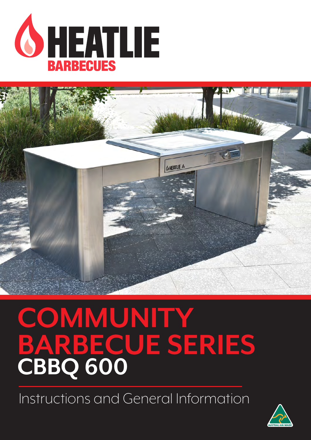

# **COMMUNITY BARBECUE SERIES** CBBQ 600

Instructions and General Information

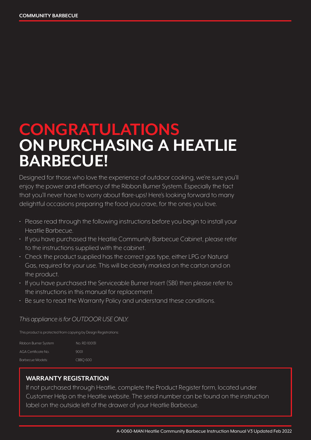### **CONGRATULATIONS ON PURCHASING A HEATLIE BARBECUE!**

Designed for those who love the experience of outdoor cooking, we're sure you'll enjoy the power and efficiency of the Ribbon Burner System. Especially the fact that you'll never have to worry about flare-ups! Here's looking forward to many delightful occasions preparing the food you crave, for the ones you love.

- Please read through the following instructions before you begin to install your Heatlie Barbecue.
- If you have purchased the Heatlie Community Barbecue Cabinet, please refer to the instructions supplied with the cabinet.
- Check the product supplied has the correct gas type, either LPG or Natural Gas, required for your use. This will be clearly marked on the carton and on the product.
- If you have purchased the Serviceable Burner Insert (SBI) then please refer to the instructions in this manual for replacement.
- Be sure to read the Warranty Policy and understand these conditions.

#### *This appliance is for OUTDOOR USE ONLY.*

This product is protected from copying by Design Registrations:

| Ribbon Burner System | No. RD 100131 |
|----------------------|---------------|
| AGA Certificate No.  | 9001          |
| Barbecue Models:     | CBBO 600      |

#### **WARRANTY REGISTRATION**

If not purchased through Heatlie, complete the Product Register form, located under Customer Help on the Heatlie website. The serial number can be found on the instruction label on the outside left of the drawer of your Heatlie Barbecue.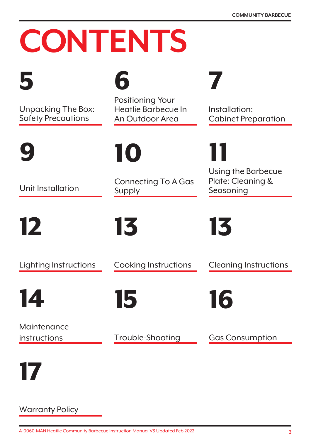# **CONTENTS**



Unpacking The Box: Safety Precautions

9

Unit Installation

12

Lighting Instructions

14

Maintenance instructions

6

Positioning Your Heatlie Barbecue In An Outdoor Area

10

Connecting To A Gas Supply

13

Cooking Instructions

Cleaning Instructions

13

Seasoning

11

7

Installation:

Cabinet Preparation

Using the Barbecue Plate: Cleaning &

16

15

Trouble-Shooting

Gas Consumption



Warranty Policy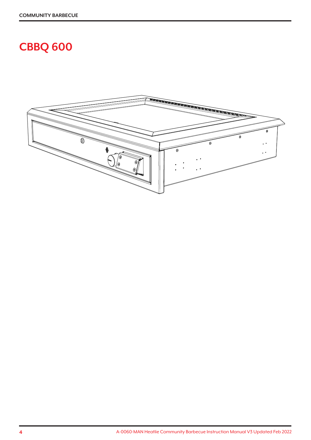### **CBBQ 600**

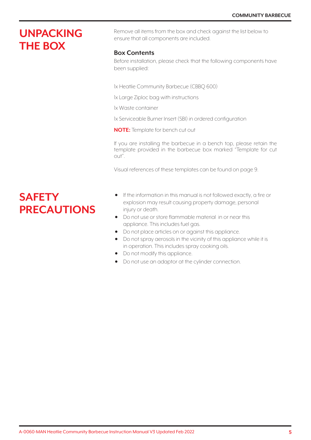### **UNPACKING THE BOX**

Remove all items from the box and check against the list below to ensure that all components are included.

#### **Box Contents**

Before installation, please check that the following components have been supplied:

1x Heatlie Community Barbecue (CBBQ 600)

1x Large Ziploc bag with instructions

1x Waste container

1x Serviceable Burner Insert (SBI) in ordered configuration

**NOTE:** Template for bench cut out

If you are installing the barbecue in a bench top, please retain the template provided in the barbecue box marked "Template for cut out".

Visual references of these templates can be found on page 9.

### **SAFETY PRECAUTIONS**

- If the information in this manual is not followed exactly, a fire or explosion may result causing property damage, personal injury or death.
- Do not use or store flammable material in or near this appliance. This includes fuel gas.
- Do not place articles on or against this appliance.
- Do not spray aerosols in the vicinity of this appliance while it is in operation. This includes spray cooking oils.
- Do not modify this appliance.
- Do not use an adaptor at the cylinder connection.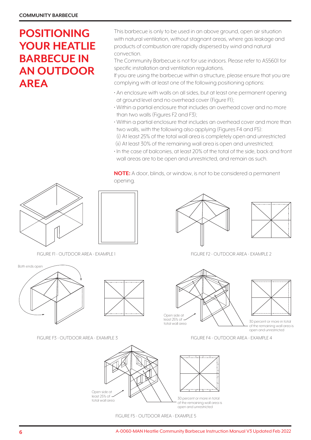### **POSITIONING YOUR HEATLIE BARBECUE IN AN OUTDOOR AREA**

This barbecue is only to be used in an above ground, open air situation with natural ventilation, without stagnant areas, where gas leakage and products of combustion are rapidly dispersed by wind and natural convection.

The Community Barbecue is not for use indoors. Please refer to AS5601 for specific installation and ventilation regulations.

If you are using the barbecue within a structure, please ensure that you are complying with at least one of the following positioning options:

- An enclosure with walls on all sides, but at least one permanent opening at ground level and no overhead cover (Figure F1);
- Within a partial enclosure that includes an overhead cover and no more than two walls (Figures F2 and F3);
- Within a partial enclosure that includes an overhead cover and more than two walls, with the following also applying (Figures F4 and F5): (i) At least 25% of the total wall area is completely open and unrestricted
- (ii) At least 30% of the remaining wall area is open and unrestricted;
- In the case of balconies, at least 20% of the total of the side, back and front wall areas are to be open and unrestricted, and remain as such.

**NOTE:** A door, blinds, or window, is not to be considered a permanent opening.





FIGURE F1 - OUTDOOR AREA - EXAMPLE 1





FIGURE F3 - OUTDOOR AREA - EXAMPLE 3





FIGURE F5 - OUTDOOR AREA - EXAMPLE 5



FIGURE F2 - OUTDOOR AREA - EXAMPLE 2





30 percent or more in total of the remaining wall area is open and unrestricted

FIGURE F4 - OUTDOOR AREA - EXAMPLE 4

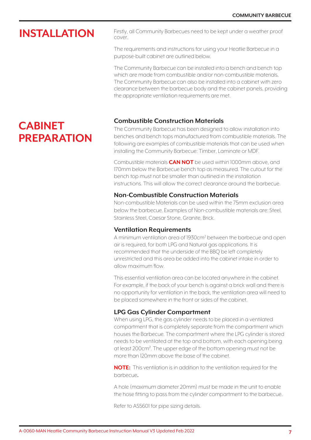### **INSTALLATION**

**CABINET** 

**PREPARATION**

Firstly, all Community Barbecues need to be kept under a weather proof cover.

The requirements and instructions for using your Heatlie Barbecue in a purpose-built cabinet are outlined below.

The Community Barbecue can be installed into a bench and bench top which are made from combustible and/or non-combustible materials. The Community Barbecue can also be installed into a cabinet with zero clearance between the barbecue body and the cabinet panels, providing the appropriate ventilation requirements are met.

#### **Combustible Construction Materials**

The Community Barbecue has been designed to allow installation into benches and bench tops manufactured from combustible materials. The following are examples of combustible materials that can be used when installing the Community Barbecue: Timber, Laminate or MDF.

Combustible materials **CAN NOT** be used within 1000mm above, and 170mm below the Barbecue bench top as measured. The cutout for the bench top must not be smaller than outlined in the installation instructions. This will allow the correct clearance around the barbecue.

#### **Non-Combustible Construction Materials**

Non-combustible Materials can be used within the 75mm exclusion area below the barbecue. Examples of Non-combustible materials are: Steel, Stainless Steel, Caesar Stone, Granite, Brick.

#### **Ventilation Requirements**

A minimum ventilation area of 1930cm<sup>2</sup> between the barbecue and open air is required, for both LPG and Natural gas applications. It is recommended that the underside of the BBQ be left completely unrestricted and this area be added into the cabinet intake in order to allow maximum flow.

This essential ventilation area can be located anywhere in the cabinet. For example, if the back of your bench is against a brick wall and there is no opportunity for ventilation in the back, the ventilation area will need to be placed somewhere in the front or sides of the cabinet.

#### **LPG Gas Cylinder Compartment**

When using LPG, the gas cylinder needs to be placed in a ventilated compartment that is completely separate from the compartment which houses the Barbecue. The compartment where the LPG cylinder is stored needs to be ventilated at the top and bottom, with each opening being at least 200cm². The upper edge of the bottom opening must not be more than 120mm above the base of the cabinet.

**NOTE:** This ventilation is in addition to the ventilation required for the barbecue.

A hole (maximum diameter 20mm) must be made in the unit to enable the hose fitting to pass from the cylinder compartment to the barbecue.

Refer to AS5601 for pipe sizing details.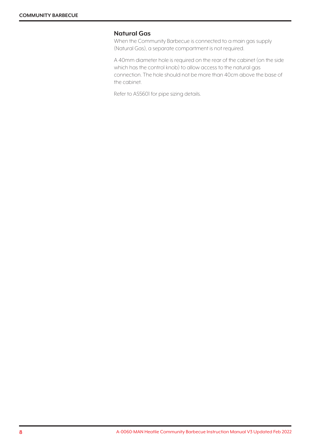#### **Natural Gas**

When the Community Barbecue is connected to a main gas supply (Natural Gas), a separate compartment is not required.

A 40mm diameter hole is required on the rear of the cabinet (on the side which has the control knob) to allow access to the natural gas connection. The hole should not be more than 40cm above the base of the cabinet.

Refer to AS5601 for pipe sizing details.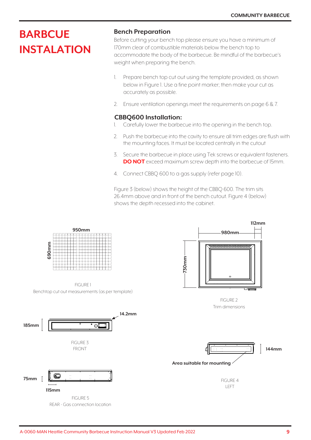### **BARBCUE INSTALATION**

#### **Bench Preparation**

Before cutting your bench top please ensure you have a minimum of 170mm clear of combustible materials below the bench top to accommodate the body of the barbecue. Be mindful of the barbecue's weight when preparing the bench.

- 1. Prepare bench top cut out using the template provided, as shown below in Figure 1. Use a fine point marker; then make your cut as accurately as possible.
- 2. Ensure ventilation openings meet the requirements on page 6 & 7.

#### **CBBQ600 Installation:**

- 1. Carefully lower the barbecue into the opening in the bench top.
- 2. Push the barbecue into the cavity to ensure all trim edges are flush with the mounting faces. It must be located centrally in the cutout
- 3. Secure the barbecue in place using Tek screws or equivalent fasteners. **DO NOT** exceed maximum screw depth into the barbecue of 15mm.
- 4. Connect CBBQ 600 to a gas supply (refer page 10).

Figure 3 (below) shows the height of the CBBQ 600. The trim sits 26.4mm above and in front of the bench cutout. Figure 4 (below) shows the depth recessed into the cabinet.

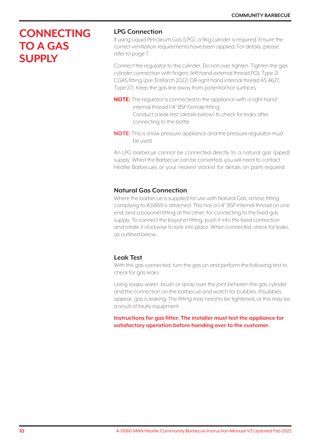### **CONNECTING TO A GAS SUPPLY**

#### **LPG Connection**

If using Liquid Petroleum Gas (LPG), a 9kg cylinder is required. Ensure the correct ventilation requirements have been applied. For details, please refer to page 7.

Connect the regulator to the cylinder. Do not over tighten. Tighten the gas cylinder connection with fingers (left hand external thread POL Type 21 CGAS fitting (pre 31 March 2022) OR right hand internal thread AS 4627, Type 27). Keep the gas line away from potential hot surfaces.

- **NOTE:** The regulator is connected to the appliance with a right hand internal thread 1/4" BSP Female fitting. Conduct a leak test (details below) to check for leaks after connecting to the bottle.
- **NOTE:** This is a low pressure appliance and the pressure regulator must be used.

An LPG barbecue cannot be connected directly to a natural gas (piped) supply. Whilst the Barbecue can be converted, you will need to contact Heatlie Barbecues or your nearest stockist for details on parts required.

#### **Natural Gas Connection**

Where the barbecue is supplied for use with Natural Gas, a hose fitting complying to AS1869 is attached. This has a 1/4" BSP internal thread on one end, and a bayonet fitting at the other, for connecting to the fixed gas supply. To connect the bayonet fitting, push it into the fixed connection and rotate it clockwise to lock into place. When connected, check for leaks, as outlined below.

#### **Leak Test**

With the gas connected, turn the gas on and perform the following test to check for gas leaks.

Using soapy water, brush or spray over the joint between the gas cylinder and the connection on the barbecue and watch for bubbles. If bubbles appear, gas is leaking. The fitting may need to be tightened, or this may be a result of faulty equipment.

**Instructions for gas fitter: The installer must test the appliance for satisfactory operation before handing over to the customer.**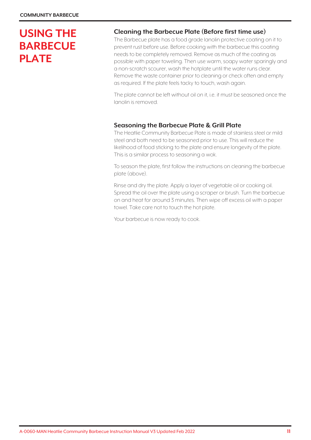### **USING THE BARBECUE PLATE**

#### **Cleaning the Barbecue Plate (Before first time use)**

The Barbecue plate has a food grade lanolin protective coating on it to prevent rust before use. Before cooking with the barbecue this coating needs to be completely removed. Remove as much of the coating as possible with paper toweling. Then use warm, soapy water sparingly and a non-scratch scourer, wash the hotplate until the water runs clear. Remove the waste container prior to cleaning or check often and empty as required. If the plate feels tacky to touch, wash again.

The plate cannot be left without oil on it, i.e. it must be seasoned once the lanolin is removed.

#### **Seasoning the Barbecue Plate & Grill Plate**

The Heatlie Community Barbecue Plate is made of stainless steel or mild steel and both need to be seasoned prior to use. This will reduce the likelihood of food sticking to the plate and ensure longevity of the plate. This is a similar process to seasoning a wok.

To season the plate, first follow the instructions on cleaning the barbecue plate (above).

Rinse and dry the plate. Apply a layer of vegetable oil or cooking oil. Spread the oil over the plate using a scraper or brush. Turn the barbecue on and heat for around 3 minutes. Then wipe off excess oil with a paper towel. Take care not to touch the hot plate.

Your barbecue is now ready to cook.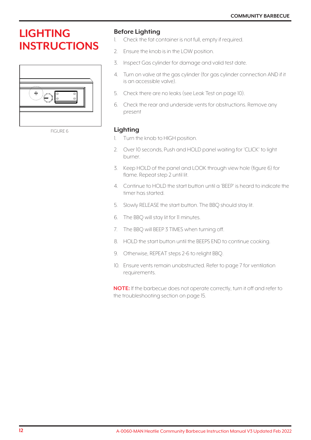### **LIGHTING INSTRUCTIONS**



FIGURE 6

#### **Before Lighting**

- 1. Check the fat container is not full, empty if required.
- 2. Ensure the knob is in the LOW position.
- 3. Inspect Gas cylinder for damage and valid test date.
- 4. Turn on valve at the gas cylinder (for gas cylinder connection AND if it is an accessible valve).
- 5. Check there are no leaks (see Leak Test on page 10).
- 6. Check the rear and underside vents for obstructions. Remove any present

#### **Lighting**

- 1. Turn the knob to HIGH position.
- 2. Over 10 seconds, Push and HOLD panel waiting for 'CLICK' to light burner.
- 3. Keep HOLD of the panel and LOOK through view hole (figure 6) for flame. Repeat step 2 until lit.
- 4. Continue to HOLD the start button until a 'BEEP' is heard to indicate the timer has started.
- 5. Slowly RELEASE the start button. The BBQ should stay lit.
- 6. The BBQ will stay lit for 11 minutes.
- 7. The BBQ will BEEP 3 TIMES when turning off.
- 8. HOLD the start button until the BEEPS END to continue cooking.
- 9. Otherwise, REPEAT steps 2-6 to relight BBQ.
- 10. Ensure vents remain unobstructed. Refer to page 7 for ventilation requirements.

**NOTE:** If the barbecue does not operate correctly, turn it off and refer to the troubleshooting section on page 15.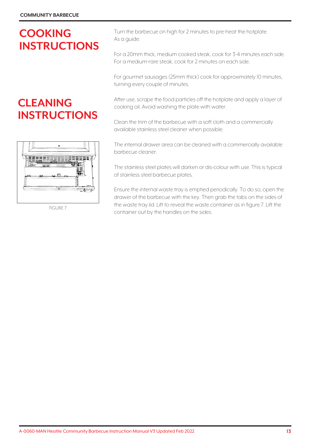### **COOKING INSTRUCTIONS**

### **CLEANING INSTRUCTIONS**



FIGURE 7

Turn the barbecue on high for 2 minutes to pre-heat the hotplate. As a guide:

For a 20mm thick, medium cooked steak, cook for 3-4 minutes each side. For a medium-rare steak, cook for 2 minutes on each side.

For gourmet sausages (25mm thick) cook for approximately 10 minutes, turning every couple of minutes.

After use, scrape the food particles off the hotplate and apply a layer of cooking oil. Avoid washing the plate with water.

Clean the trim of the barbecue with a soft cloth and a commercially available stainless steel cleaner when possible.

The internal drawer area can be cleaned with a commercially available barbecue cleaner.

The stainless steel plates will darken or dis-colour with use. This is typical of stainless steel barbecue plates.

Ensure the internal waste tray is emptied periodically. To do so, open the drawer of the barbecue with the key. Then grab the tabs on the sides of the waste tray lid. Lift to reveal the waste container as in figure 7. Lift the container out by the handles on the sides.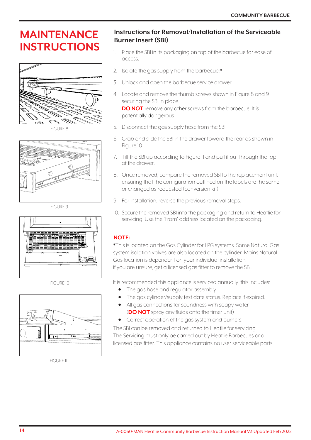## **INSTRUCTIONS**



FIGURE 8



FIGURE 9



FIGURE 10



FIGURE 11

### **INAINTENANCE Instructions for Removal/Installation of the Serviceable Burner Insert (SBI)**

- 1. Place the SBI in its packaging on top of the barbecue for ease of access.
- 2. Isolate the gas supply from the barbecue.\*
- 3. Unlock and open the barbecue service drawer.
- 4. Locate and remove the thumb screws shown in Figure 8 and 9 securing the SBI in place.

**DO NOT** remove any other screws from the barbecue. It is potentially dangerous.

- 5. Disconnect the gas supply hose from the SBI.
- 6. Grab and slide the SBI in the drawer toward the rear as shown in Figure 10.
- 7. Tilt the SBI up according to Figure 11 and pull it out through the top of the drawer.
- 8. Once removed, compare the removed SBI to the replacement unit. ensuring that the configuration outlined on the labels are the same or changed as requested (conversion kit).
- 9. For installation, reverse the previous removal steps.
- 10. Secure the removed SBI into the packaging and return to Heatlie for servicing. Use the 'From' address located on the packaging.

#### **NOTE:**

\* This is located on the Gas Cylinder for LPG systems. Some Natural Gas system isolation valves are also located on the cylinder. Mains Natural Gas location is dependent on your individual installation. if you are unsure, get a licensed gas fitter to remove the SBI.

It is recommended this appliance is serviced annually. this includes:

- The gas hose and regulator assembly.
- The gas cylinder/supply test date status. Replace if expired.
- All gas connections for soundness with soapy water (**DO NOT** spray any fluids onto the timer unit)
- Correct operation of the gas system and burners.

The SBI can be removed and returned to Heatlie for servicing. The Servicing must only be carried out by Heatlie Barbecues or a licensed gas fitter. This appliance contains no user serviceable parts.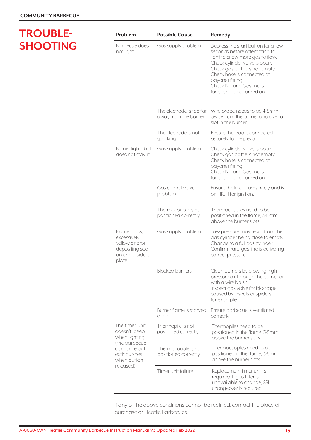### **TROUBLE-SHOOTING**

| Problem                                                                                       | <b>Possible Cause</b>                            | Remedy                                                                                                                                                                                                                                                                                |  |
|-----------------------------------------------------------------------------------------------|--------------------------------------------------|---------------------------------------------------------------------------------------------------------------------------------------------------------------------------------------------------------------------------------------------------------------------------------------|--|
| Barbecue does<br>not light                                                                    | Gas supply problem                               | Depress the start button for a few<br>seconds before attempting to<br>light to allow more gas to flow.<br>Check cylinder valve is open.<br>Check gas bottle is not empty.<br>Check hose is connected at<br>bayonet fitting.<br>Check Natural Gas line is<br>functional and turned on. |  |
|                                                                                               | The electrode is too far<br>away from the burner | Wire probe needs to be 4-5mm<br>away from the burner and over a<br>slot in the burner.                                                                                                                                                                                                |  |
|                                                                                               | The electrode is not<br>sparking                 | Ensure the lead is connected<br>securely to the piezo.                                                                                                                                                                                                                                |  |
| Burner lights but<br>does not stay lit                                                        | Gas supply problem                               | Check cylinder valve is open.<br>Check gas bottle is not empty.<br>Check hose is connected at<br>bayonet fitting.<br>Check Natural Gas line is<br>functional and turned on.                                                                                                           |  |
|                                                                                               | Gas control valve<br>problem                     | Ensure the knob turns freely and is<br>on HIGH for ignition.                                                                                                                                                                                                                          |  |
|                                                                                               | Thermocouple is not<br>positioned correctly      | Thermocouples need to be<br>positioned in the flame, 3-5mm<br>above the burner slots.                                                                                                                                                                                                 |  |
| Flame is low,<br>excessively<br>yellow and/or<br>depositing soot<br>on under side of<br>plate | Gas supply problem                               | Low pressure may result from the<br>gas cylinder being close to empty.<br>Change to a full gas cylinder.<br>Confirm hard gas line is delivering<br>correct pressure.                                                                                                                  |  |
|                                                                                               | <b>Blocked burners</b>                           | Clean burners by blowing high<br>pressure air through the burner or<br>with a wire brush.<br>Inspect gas valve for blockage<br>caused by insects or spiders<br>for example                                                                                                            |  |
|                                                                                               | Burner flame is starved<br>of air                | Ensure barbecue is ventilated<br>correctly.                                                                                                                                                                                                                                           |  |
| The timer unit<br>doesn't 'beep'<br>when lighting<br>(the barbecue)                           | Thermopile is not<br>postioned correctly         | Thermopiles need to be<br>positioned in the flame, 3-5mm<br>above the burner slots                                                                                                                                                                                                    |  |
| can ignite but<br>extinguishes<br>when button                                                 | Thermocouple is not<br>positioned correctly      | Thermocouples need to be<br>positioned in the flame, 3-5mm<br>above the burner slots                                                                                                                                                                                                  |  |
| released).                                                                                    | Timer unit failure                               | Replacement timer unit is<br>required. If gas fitter is<br>unavailable to change, SBI<br>changeover is required.                                                                                                                                                                      |  |

If any of the above conditions cannot be rectified, contact the place of purchase or Heatlie Barbecues.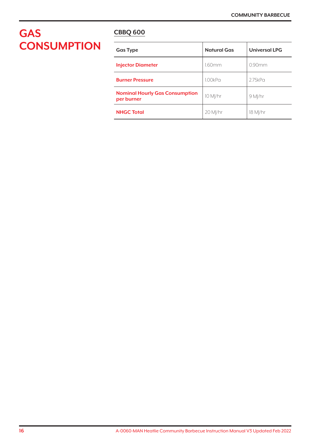### **GAS CBBQ <sup>600</sup> CONSUMPTION**

| <b>Gas Type</b>                                     | <b>Natural Gas</b> | <b>Universal LPG</b> |
|-----------------------------------------------------|--------------------|----------------------|
| <b>Injector Diameter</b>                            | 1.60mm             | 0.90mm               |
| <b>Burner Pressure</b>                              | 1.00kPa            | 2.75kP <sub>G</sub>  |
| <b>Nominal Hourly Gas Consumption</b><br>per burner | 10 M /hr           | 9 Ml/hr              |
| <b>NHGC Total</b>                                   | 20 MJ/hr           | 18 M /hr             |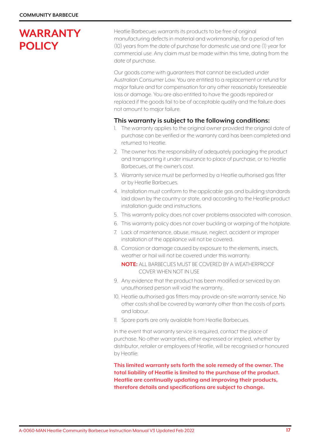### **WARRANTY POLICY**

Heatlie Barbecues warrants its products to be free of original manufacturing defects in material and workmanship, for a period of ten (10) years from the date of purchase for domestic use and one (1) year for commercial use. Any claim must be made within this time, dating from the date of purchase.

Our goods come with guarantees that cannot be excluded under Australian Consumer Law. You are entitled to a replacement or refund for major failure and for compensation for any other reasonably foreseeable loss or damage. You are also entitled to have the goods repaired or replaced if the goods fail to be of acceptable quality and the failure does not amount to major failure.

#### **This warranty is subject to the following conditions:**

- 1. The warranty applies to the original owner provided the original date of purchase can be verified or the warranty card has been completed and returned to Heatlie.
- 2. The owner has the responsibility of adequately packaging the product and transporting it under insurance to place of purchase, or to Heatlie Barbecues, at the owner's cost.
- 3. Warranty service must be performed by a Heatlie authorised gas fitter or by Heatlie Barbecues.
- 4. Installation must conform to the applicable gas and building standards laid down by the country or state, and according to the Heatlie product installation guide and instructions.
- 5. This warranty policy does not cover problems associated with corrosion.
- 6. This warranty policy does not cover buckling or warping of the hotplate.
- 7. Lack of maintenance, abuse, misuse, neglect, accident or improper installation of the appliance will not be covered.
- 8. Corrosion or damage caused by exposure to the elements, insects, weather or hail will not be covered under this warranty.

**NOTE:** ALL BARBECUES MUST BE COVERED BY A WEATHERPROOF COVER WHEN NOT IN USE

- 9. Any evidence that the product has been modified or serviced by an unauthorised person will void the warranty.
- 10. Heatlie authorised gas fitters may provide on-site warranty service. No other costs shall be covered by warranty other than the costs of parts and labour.
- 11. Spare parts are only available from Heatlie Barbecues.

In the event that warranty service is required, contact the place of purchase. No other warranties, either expressed or implied, whether by distributor, retailer or employees of Heatlie, will be recognised or honoured by Heatlie.

**This limited warranty sets forth the sole remedy of the owner. The total liability of Heatlie is limited to the purchase of the product. Heatlie are continually updating and improving their products, therefore details and specifications are subject to change.**